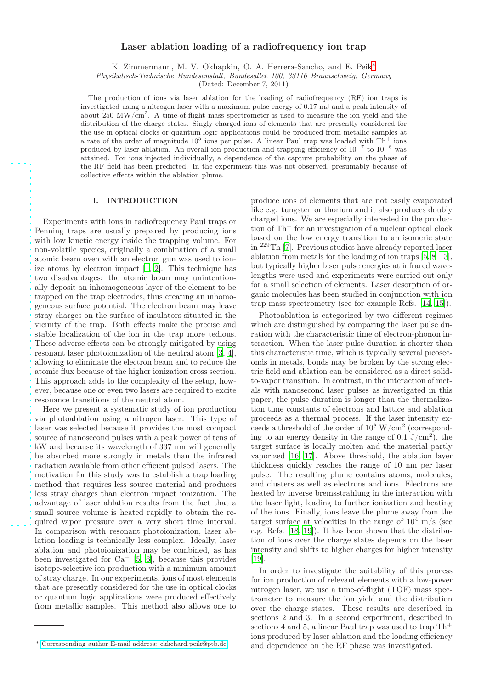# Laser ablation loading of a radiofrequency ion trap

K. Zimmermann, M. V. Okhapkin, O. A. Herrera-Sancho, and E. Peik<sup>\*</sup>

Physikalisch-Technische Bundesanstalt, Bundesallee 100, 38116 Braunschweig, Germany

(Dated: December 7, 2011)

The production of ions via laser ablation for the loading of radiofrequency (RF) ion traps is investigated using a nitrogen laser with a maximum pulse energy of 0.17 mJ and a peak intensity of about  $250$  MW/cm<sup>2</sup>. A time-of-flight mass spectrometer is used to measure the ion yield and the distribution of the charge states. Singly charged ions of elements that are presently considered for the use in optical clocks or quantum logic applications could be produced from metallic samples at a rate of the order of magnitude  $10^5$  ions per pulse. A linear Paul trap was loaded with Th<sup>+</sup> ions produced by laser ablation. An overall ion production and trapping efficiency of 10<sup>−</sup><sup>7</sup> to 10<sup>−</sup><sup>6</sup> was attained. For ions injected individually, a dependence of the capture probability on the phase of the RF field has been predicted. In the experiment this was not observed, presumably because of collective effects within the ablation plume.

# I. INTRODUCTION

Experiments with ions in radiofrequency Paul traps or Penning traps are usually prepared by producing ions with low kinetic energy inside the trapping volume. For non-volatile species, originally a combination of a small atomic beam oven with an electron gun was used to ionize atoms by electron impact [\[1](#page-5-0), [2\]](#page-5-1). This technique has two disadvantages: the atomic beam may unintentionally deposit an inhomogeneous layer of the element to be trapped on the trap electrodes, thus creating an inhomogeneous surface potential. The electron beam may leave stray charges on the surface of insulators situated in the vicinity of the trap. Both effects make the precise and stable localization of the ion in the trap more tedious. These adverse effects can be strongly mitigated by using resonant laser photoionization of the neutral atom [\[3](#page-5-2), [4](#page-5-3)], allowing to eliminate the electron beam and to reduce the atomic flux because of the higher ionization cross section. This approach adds to the complexity of the setup, however, because one or even two lasers are required to excite resonance transitions of the neutral atom.

Here we present a systematic study of ion production via photoablation using a nitrogen laser. This type of laser was selected because it provides the most compact source of nanosecond pulses with a peak power of tens of kW and because its wavelength of 337 nm will generally be absorbed more strongly in metals than the infrared radiation available from other efficient pulsed lasers. The motivation for this study was to establish a trap loading method that requires less source material and produces less stray charges than electron impact ionization. The advantage of laser ablation results from the fact that a small source volume is heated rapidly to obtain the required vapor pressure over a very short time interval. In comparison with resonant photoionization, laser ablation loading is technically less complex. Ideally, laser ablation and photoionization may be combined, as has been investigated for  $Ca^+$  [\[5](#page-5-4), [6\]](#page-5-5), because this provides isotope-selective ion production with a minimum amount of stray charge. In our experiments, ions of most elements that are presently considered for the use in optical clocks or quantum logic applications were produced effectively from metallic samples. This method also allows one to

produce ions of elements that are not easily evaporated like e.g. tungsten or thorium and it also produces doubly charged ions. We are especially interested in the production of Th<sup>+</sup> for an investigation of a nuclear optical clock based on the low energy transition to an isomeric state in <sup>229</sup>Th [\[7](#page-5-6)]. Previous studies have already reported laser ablation from metals for the loading of ion traps [\[5](#page-5-4), [8](#page-5-7)[–13](#page-5-8)], but typically higher laser pulse energies at infrared wavelengths were used and experiments were carried out only for a small selection of elements. Laser desorption of organic molecules has been studied in conjunction with ion trap mass spectrometry (see for example Refs. [\[14,](#page-5-9) [15](#page-5-10)]).

Photoablation is categorized by two different regimes which are distinguished by comparing the laser pulse duration with the characteristic time of electron-phonon interaction. When the laser pulse duration is shorter than this characteristic time, which is typically several picoseconds in metals, bonds may be broken by the strong electric field and ablation can be considered as a direct solidto-vapor transition. In contrast, in the interaction of metals with nanosecond laser pulses as investigated in this paper, the pulse duration is longer than the thermalization time constants of electrons and lattice and ablation proceeds as a thermal process. If the laser intensity exceeds a threshold of the order of  $10^8$  W/cm<sup>2</sup> (corresponding to an energy density in the range of  $0.1 \mathrm{~J/cm}^2$ , the target surface is locally molten and the material partly vaporized [\[16](#page-5-11), [17](#page-5-12)]. Above threshold, the ablation layer thickness quickly reaches the range of 10 nm per laser pulse. The resulting plume contains atoms, molecules, and clusters as well as electrons and ions. Electrons are heated by inverse bremsstrahlung in the interaction with the laser light, leading to further ionization and heating of the ions. Finally, ions leave the plume away from the target surface at velocities in the range of  $10^4$  m/s (see e.g. Refs. [\[18,](#page-5-13) [19\]](#page-5-14)). It has been shown that the distribution of ions over the charge states depends on the laser intensity and shifts to higher charges for higher intensity [\[19](#page-5-14)].

In order to investigate the suitability of this process for ion production of relevant elements with a low-power nitrogen laser, we use a time-of-flight (TOF) mass spectrometer to measure the ion yield and the distribution over the charge states. These results are described in sections 2 and 3. In a second experiment, described in sections 4 and 5, a linear Paul trap was used to trap  $\text{Th}^+$ ions produced by laser ablation and the loading efficiency and dependence on the RF phase was investigated.

<span id="page-0-0"></span><sup>∗</sup> [Corresponding author E-mail address: ekkehard.peik@ptb.de](mailto:Corresponding author E-mail address: ekkehard.peik@ptb.de)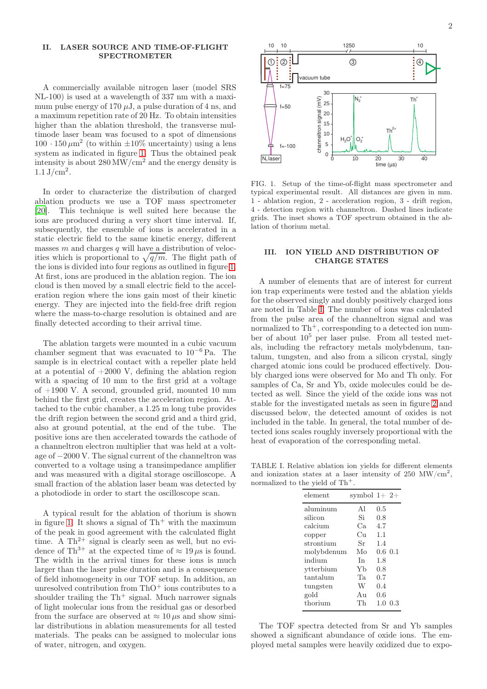### II. LASER SOURCE AND TIME-OF-FLIGHT SPECTROMETER

A commercially available nitrogen laser (model SRS NL-100) is used at a wavelength of 337 nm with a maximum pulse energy of 170  $\mu$ J, a pulse duration of 4 ns, and a maximum repetition rate of 20 Hz. To obtain intensities higher than the ablation threshold, the transverse multimode laser beam was focused to a spot of dimensions  $100 \cdot 150 \,\mu\text{m}^2$  (to within  $\pm 10\%$  uncertainty) using a lens system as indicated in figure [1.](#page-1-0) Thus the obtained peak intensity is about  $280 \,\mathrm{MW/cm^2}$  and the energy density is  $1.1 \,\mathrm{J/cm^2}$ .

In order to characterize the distribution of charged ablation products we use a TOF mass spectrometer [\[20](#page-5-15)]. This technique is well suited here because the ions are produced during a very short time interval. If, subsequently, the ensemble of ions is accelerated in a static electric field to the same kinetic energy, different masses  $m$  and charges  $q$  will have a distribution of velocities which is proportional to  $\sqrt{q/m}$ . The flight path of the ions is divided into four regions as outlined in figure [1.](#page-1-0) At first, ions are produced in the ablation region. The ion cloud is then moved by a small electric field to the acceleration region where the ions gain most of their kinetic energy. They are injected into the field-free drift region where the mass-to-charge resolution is obtained and are finally detected according to their arrival time.

The ablation targets were mounted in a cubic vacuum chamber segment that was evacuated to  $10^{-6}$  Pa. The sample is in electrical contact with a repeller plate held at a potential of  $+2000$  V, defining the ablation region with a spacing of 10 mm to the first grid at a voltage of  $+1900$  V. A second, grounded grid, mounted 10 mm behind the first grid, creates the acceleration region. Attached to the cubic chamber, a 1.25 m long tube provides the drift region between the second grid and a third grid, also at ground potential, at the end of the tube. The positive ions are then accelerated towards the cathode of a channeltron electron multiplier that was held at a voltage of −2000 V. The signal current of the channeltron was converted to a voltage using a transimpedance amplifier and was measured with a digital storage oscilloscope. A small fraction of the ablation laser beam was detected by a photodiode in order to start the oscilloscope scan.

A typical result for the ablation of thorium is shown in figure [1.](#page-1-0) It shows a signal of  $Th<sup>+</sup>$  with the maximum of the peak in good agreement with the calculated flight time. A  $Th^{2+}$  signal is clearly seen as well, but no evidence of Th<sup>3+</sup> at the expected time of  $\approx 19 \,\mu s$  is found. The width in the arrival times for these ions is much larger than the laser pulse duration and is a consequence of field inhomogeneity in our TOF setup. In addition, an unresolved contribution from  $ThO<sup>+</sup>$  ions contributes to a shoulder trailing the  $Th^+$  signal. Much narrower signals of light molecular ions from the residual gas or desorbed from the surface are observed at  $\approx 10 \,\mu s$  and show similar distributions in ablation measurements for all tested materials. The peaks can be assigned to molecular ions of water, nitrogen, and oxygen.



<span id="page-1-0"></span>FIG. 1. Setup of the time-of-flight mass spectrometer and typical experimental result. All distances are given in mm. 1 - ablation region, 2 - acceleration region, 3 - drift region, 4 - detection region with channeltron. Dashed lines indicate grids. The inset shows a TOF spectrum obtained in the ablation of thorium metal.

### III. ION YIELD AND DISTRIBUTION OF CHARGE STATES

A number of elements that are of interest for current ion trap experiments were tested and the ablation yields for the observed singly and doubly positively charged ions are noted in Table [I.](#page-1-1) The number of ions was calculated from the pulse area of the channeltron signal and was normalized to  $Th^+$ , corresponding to a detected ion number of about  $10^5$  per laser pulse. From all tested metals, including the refractory metals molybdenum, tantalum, tungsten, and also from a silicon crystal, singly charged atomic ions could be produced effectively. Doubly charged ions were observed for Mo and Th only. For samples of Ca, Sr and Yb, oxide molecules could be detected as well. Since the yield of the oxide ions was not stable for the investigated metals as seen in figure [2](#page-2-0) and discussed below, the detected amount of oxides is not included in the table. In general, the total number of detected ions scales roughly inversely proportional with the heat of evaporation of the corresponding metal.

TABLE I. Relative ablation ion yields for different elements and ionization states at a laser intensity of 250 MW/ $\text{cm}^2$ , normalized to the yield of  $\text{Th}^+$ .

<span id="page-1-1"></span>

| element    | symbol $1+2+$   |              |     |
|------------|-----------------|--------------|-----|
| aluminum   | Αl              | 0.5          |     |
| silicon    | Si              | 0.8          |     |
| calcium    | Ca.             | 4.7          |     |
| copper     | Cп              | 1.1          |     |
| strontium  | Sr              | 1.4          |     |
| molybdenum | Mo              | $0.6 \; 0.1$ |     |
| indium     | In              | 1.8          |     |
| ytterbium  | Yh              | 0.8          |     |
| tantalum   | Ta.             | 0.7          |     |
| tungsten   | W               | 0.4          |     |
| gold       | A <sub>11</sub> | 0.6          |     |
| thorium    | Тh              | 1.0          | 0.3 |

The TOF spectra detected from Sr and Yb samples showed a significant abundance of oxide ions. The employed metal samples were heavily oxidized due to expo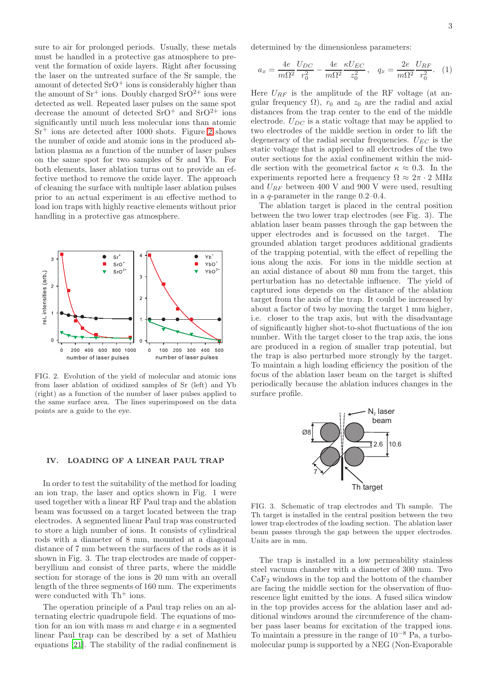sure to air for prolonged periods. Usually, these metals must be handled in a protective gas atmosphere to prevent the formation of oxide layers. Right after focussing the laser on the untreated surface of the Sr sample, the amount of detected  $SrO<sup>+</sup>$  ions is considerably higher than the amount of  $Sr^+$  ions. Doubly charged  $SrO^{2+}$  ions were detected as well. Repeated laser pulses on the same spot decrease the amount of detected  $SrO<sup>+</sup>$  and  $SrO<sup>2+</sup>$  ions significantly until much less molecular ions than atomic  $Sr<sup>+</sup>$  ions are detected after 1000 shots. Figure [2](#page-2-0) shows the number of oxide and atomic ions in the produced ablation plasma as a function of the number of laser pulses on the same spot for two samples of Sr and Yb. For both elements, laser ablation turns out to provide an effective method to remove the oxide layer. The approach of cleaning the surface with multiple laser ablation pulses prior to an actual experiment is an effective method to load ion traps with highly reactive elements without prior handling in a protective gas atmosphere.



<span id="page-2-0"></span>FIG. 2. Evolution of the yield of molecular and atomic ions from laser ablation of oxidized samples of Sr (left) and Yb (right) as a function of the number of laser pulses applied to the same surface area. The lines superimposed on the data points are a guide to the eye.

### IV. LOADING OF A LINEAR PAUL TRAP

In order to test the suitability of the method for loading an ion trap, the laser and optics shown in Fig. 1 were used together with a linear RF Paul trap and the ablation beam was focussed on a target located between the trap electrodes. A segmented linear Paul trap was constructed to store a high number of ions. It consists of cylindrical rods with a diameter of 8 mm, mounted at a diagonal distance of 7 mm between the surfaces of the rods as it is shown in Fig. 3. The trap electrodes are made of copperberyllium and consist of three parts, where the middle section for storage of the ions is 20 mm with an overall length of the three segments of 160 mm. The experiments were conducted with  $Th<sup>+</sup>$  ions.

The operation principle of a Paul trap relies on an alternating electric quadrupole field. The equations of motion for an ion with mass  $m$  and charge  $e$  in a segmented linear Paul trap can be described by a set of Mathieu equations [\[21\]](#page-5-16). The stability of the radial confinement is

determined by the dimensionless parameters:

$$
a_x = \frac{4e}{m\Omega^2} \frac{U_{DC}}{r_0^2} - \frac{4e}{m\Omega^2} \frac{\kappa U_{EC}}{z_0^2}, \quad q_x = \frac{2e}{m\Omega^2} \frac{U_{RF}}{r_0^2}.
$$
 (1)

Here  $U_{RF}$  is the amplitude of the RF voltage (at angular frequency  $\Omega$ ),  $r_0$  and  $z_0$  are the radial and axial distances from the trap center to the end of the middle electrode.  $U_{DC}$  is a static voltage that may be applied to two electrodes of the middle section in order to lift the degeneracy of the radial secular frequencies.  $U_{EC}$  is the static voltage that is applied to all electrodes of the two outer sections for the axial confinement within the middle section with the geometrical factor  $\kappa \approx 0.3$ . In the experiments reported here a frequency  $\Omega \approx 2\pi \cdot 2$  MHz and  $U_{RF}$  between 400 V and 900 V were used, resulting in a q-parameter in the range 0.2–0.4.

The ablation target is placed in the central position between the two lower trap electrodes (see Fig. 3). The ablation laser beam passes through the gap between the upper electrodes and is focussed on the target. The grounded ablation target produces additional gradients of the trapping potential, with the effect of repelling the ions along the axis. For ions in the middle section at an axial distance of about 80 mm from the target, this perturbation has no detectable influence. The yield of captured ions depends on the distance of the ablation target from the axis of the trap. It could be increased by about a factor of two by moving the target 1 mm higher, i.e. closer to the trap axis, but with the disadvantage of significantly higher shot-to-shot fluctuations of the ion number. With the target closer to the trap axis, the ions are produced in a region of smaller trap potential, but the trap is also perturbed more strongly by the target. To maintain a high loading efficiency the position of the focus of the ablation laser beam on the target is shifted periodically because the ablation induces changes in the surface profile.



FIG. 3. Schematic of trap electrodes and Th sample. The Th target is installed in the central position between the two lower trap electrodes of the loading section. The ablation laser beam passes through the gap between the upper electrodes. Units are in mm.

The trap is installed in a low permeability stainless steel vacuum chamber with a diameter of 300 mm. Two  $CaF<sub>2</sub>$  windows in the top and the bottom of the chamber are facing the middle section for the observation of fluorescence light emitted by the ions. A fused silica window in the top provides access for the ablation laser and additional windows around the circumference of the chamber pass laser beams for excitation of the trapped ions. To maintain a pressure in the range of 10<sup>−</sup><sup>8</sup> Pa, a turbomolecular pump is supported by a NEG (Non-Evaporable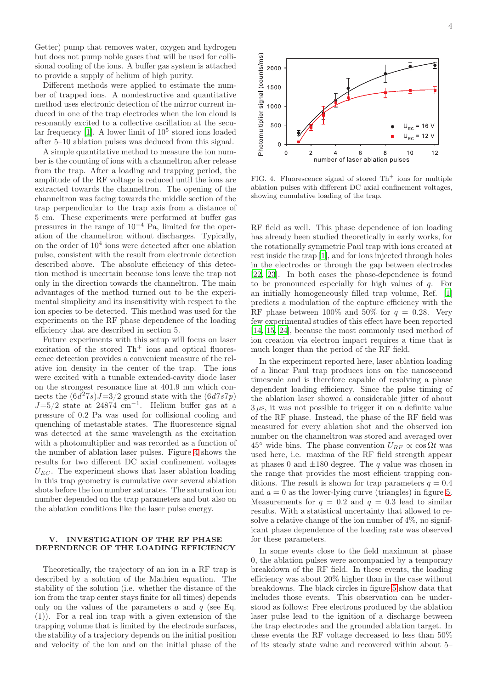Getter) pump that removes water, oxygen and hydrogen but does not pump noble gases that will be used for collisional cooling of the ions. A buffer gas system is attached to provide a supply of helium of high purity.

Different methods were applied to estimate the number of trapped ions. A nondestructive and quantitative method uses electronic detection of the mirror current induced in one of the trap electrodes when the ion cloud is resonantly excited to a collective oscillation at the secular frequency  $[1]$ . A lower limit of  $10^5$  stored ions loaded after 5–10 ablation pulses was deduced from this signal.

A simple quantitative method to measure the ion number is the counting of ions with a channeltron after release from the trap. After a loading and trapping period, the amplitude of the RF voltage is reduced until the ions are extracted towards the channeltron. The opening of the channeltron was facing towards the middle section of the trap perpendicular to the trap axis from a distance of 5 cm. These experiments were performed at buffer gas pressures in the range of  $10^{-4}$  Pa, limited for the operation of the channeltron without discharges. Typically, on the order of  $10^4$  ions were detected after one ablation pulse, consistent with the result from electronic detection described above. The absolute efficiency of this detection method is uncertain because ions leave the trap not only in the direction towards the channeltron. The main advantages of the method turned out to be the experimental simplicity and its insensitivity with respect to the ion species to be detected. This method was used for the experiments on the RF phase dependence of the loading efficiency that are described in section 5.

Future experiments with this setup will focus on laser excitation of the stored  $Th<sup>+</sup>$  ions and optical fluorescence detection provides a convenient measure of the relative ion density in the center of the trap. The ions were excited with a tunable extended-cavity diode laser on the strongest resonance line at 401.9 nm which connects the  $(6d^27s)J=3/2$  ground state with the  $(6d7s7p)$  $J=5/2$  state at 24874 cm<sup>-1</sup>. Helium buffer gas at a pressure of 0.2 Pa was used for collisional cooling and quenching of metastable states. The fluorescence signal was detected at the same wavelength as the excitation with a photomultiplier and was recorded as a function of the number of ablation laser pulses. Figure [4](#page-3-0) shows the results for two different DC axial confinement voltages  $U_{EC}$ . The experiment shows that laser ablation loading in this trap geometry is cumulative over several ablation shots before the ion number saturates. The saturation ion number depended on the trap parameters and but also on the ablation conditions like the laser pulse energy.

## V. INVESTIGATION OF THE RF PHASE DEPENDENCE OF THE LOADING EFFICIENCY

Theoretically, the trajectory of an ion in a RF trap is described by a solution of the Mathieu equation. The stability of the solution (i.e. whether the distance of the ion from the trap center stays finite for all times) depends only on the values of the parameters  $a$  and  $q$  (see Eq. (1)). For a real ion trap with a given extension of the trapping volume that is limited by the electrode surfaces, the stability of a trajectory depends on the initial position and velocity of the ion and on the initial phase of the



<span id="page-3-0"></span>FIG. 4. Fluorescence signal of stored  $Th<sup>+</sup>$  ions for multiple ablation pulses with different DC axial confinement voltages, showing cumulative loading of the trap.

RF field as well. This phase dependence of ion loading has already been studied theoretically in early works, for the rotationally symmetric Paul trap with ions created at rest inside the trap [\[1](#page-5-0)], and for ions injected through holes in the electrodes or through the gap between electrodes [\[22](#page-5-17), [23\]](#page-5-18). In both cases the phase-dependence is found to be pronounced especially for high values of  $q$ . For an initially homogeneously filled trap volume, Ref. [\[1\]](#page-5-0) predicts a modulation of the capture efficiency with the RF phase between  $100\%$  and  $50\%$  for  $q = 0.28$ . Very few experimental studies of this effect have been reported [\[14](#page-5-9), [15](#page-5-10), [24](#page-5-19)], because the most commonly used method of ion creation via electron impact requires a time that is much longer than the period of the RF field.

In the experiment reported here, laser ablation loading of a linear Paul trap produces ions on the nanosecond timescale and is therefore capable of resolving a phase dependent loading efficiency. Since the pulse timing of the ablation laser showed a considerable jitter of about  $3 \mu s$ , it was not possible to trigger it on a definite value of the RF phase. Instead, the phase of the RF field was measured for every ablation shot and the observed ion number on the channeltron was stored and averaged over 45<sup>°</sup> wide bins. The phase convention  $U_{RF} \propto \cos \Omega t$  was used here, i.e. maxima of the RF field strength appear at phases 0 and  $\pm 180$  degree. The q value was chosen in the range that provides the most efficient trapping conditions. The result is shown for trap parameters  $q = 0.4$ and  $a = 0$  as the lower-lying curve (triangles) in figure [5.](#page-4-0) Measurements for  $q = 0.2$  and  $q = 0.3$  lead to similar results. With a statistical uncertainty that allowed to resolve a relative change of the ion number of 4%, no significant phase dependence of the loading rate was observed for these parameters.

In some events close to the field maximum at phase 0, the ablation pulses were accompanied by a temporary breakdown of the RF field. In these events, the loading efficiency was about 20% higher than in the case without breakdowns. The black circles in figure [5](#page-4-0) show data that includes those events. This observation can be understood as follows: Free electrons produced by the ablation laser pulse lead to the ignition of a discharge between the trap electrodes and the grounded ablation target. In these events the RF voltage decreased to less than 50% of its steady state value and recovered within about 5–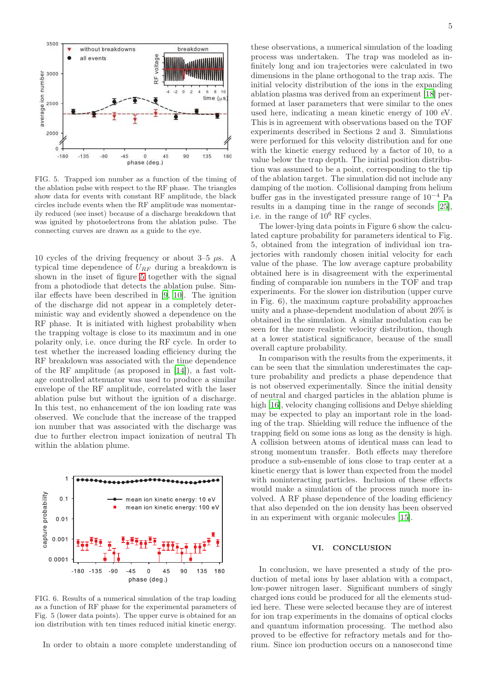

<span id="page-4-0"></span>FIG. 5. Trapped ion number as a function of the timing of the ablation pulse with respect to the RF phase. The triangles show data for events with constant RF amplitude, the black circles include events when the RF amplitude was momentarily reduced (see inset) because of a discharge breakdown that was ignited by photoelectrons from the ablation pulse. The connecting curves are drawn as a guide to the eye.

10 cycles of the driving frequency or about  $3-5 \mu s$ . A typical time dependence of  $U_{RF}$  during a breakdown is shown in the inset of figure [5](#page-4-0) together with the signal from a photodiode that detects the ablation pulse. Similar effects have been described in [\[9](#page-5-20), [10\]](#page-5-21). The ignition of the discharge did not appear in a completely deterministic way and evidently showed a dependence on the RF phase. It is initiated with highest probability when the trapping voltage is close to its maximum and in one polarity only, i.e. once during the RF cycle. In order to test whether the increased loading efficiency during the RF breakdown was associated with the time dependence of the RF amplitude (as proposed in [\[14](#page-5-9)]), a fast voltage controlled attenuator was used to produce a similar envelope of the RF amplitude, correlated with the laser ablation pulse but without the ignition of a discharge. In this test, no enhancement of the ion loading rate was observed. We conclude that the increase of the trapped ion number that was associated with the discharge was due to further electron impact ionization of neutral Th within the ablation plume.



FIG. 6. Results of a numerical simulation of the trap loading as a function of RF phase for the experimental parameters of Fig. 5 (lower data points). The upper curve is obtained for an ion distribution with ten times reduced initial kinetic energy.

In order to obtain a more complete understanding of

these observations, a numerical simulation of the loading process was undertaken. The trap was modeled as infinitely long and ion trajectories were calculated in two dimensions in the plane orthogonal to the trap axis. The initial velocity distribution of the ions in the expanding ablation plasma was derived from an experiment [\[18\]](#page-5-13) performed at laser parameters that were similar to the ones used here, indicating a mean kinetic energy of 100 eV. This is in agreement with observations based on the TOF experiments described in Sections 2 and 3. Simulations were performed for this velocity distribution and for one with the kinetic energy reduced by a factor of 10, to a value below the trap depth. The initial position distribution was assumed to be a point, corresponding to the tip of the ablation target. The simulation did not include any damping of the motion. Collisional damping from helium buffer gas in the investigated pressure range of  $10^{-4}$  Pa results in a damping time in the range of seconds [\[25](#page-5-22)], i.e. in the range of 10<sup>6</sup> RF cycles.

The lower-lying data points in Figure 6 show the calculated capture probability for parameters identical to Fig. 5, obtained from the integration of individual ion trajectories with randomly chosen initial velocity for each value of the phase. The low average capture probability obtained here is in disagreement with the experimental finding of comparable ion numbers in the TOF and trap experiments. For the slower ion distribution (upper curve in Fig. 6), the maximum capture probability approaches unity and a phase-dependent modulation of about 20% is obtained in the simulation. A similar modulation can be seen for the more realistic velocity distribution, though at a lower statistical significance, because of the small overall capture probability.

In comparison with the results from the experiments, it can be seen that the simulation underestimates the capture probability and predicts a phase dependence that is not observed experimentally. Since the initial density of neutral and charged particles in the ablation plume is high [\[16\]](#page-5-11), velocity changing collisions and Debye shielding may be expected to play an important role in the loading of the trap. Shielding will reduce the influence of the trapping field on some ions as long as the density is high. A collision between atoms of identical mass can lead to strong momentum transfer. Both effects may therefore produce a sub-ensemble of ions close to trap center at a kinetic energy that is lower than expected from the model with noninteracting particles. Inclusion of these effects would make a simulation of the process much more involved. A RF phase dependence of the loading efficiency that also depended on the ion density has been observed in an experiment with organic molecules [\[15\]](#page-5-10).

#### VI. CONCLUSION

In conclusion, we have presented a study of the production of metal ions by laser ablation with a compact, low-power nitrogen laser. Significant numbers of singly charged ions could be produced for all the elements studied here. These were selected because they are of interest for ion trap experiments in the domains of optical clocks and quantum information processing. The method also proved to be effective for refractory metals and for thorium. Since ion production occurs on a nanosecond time